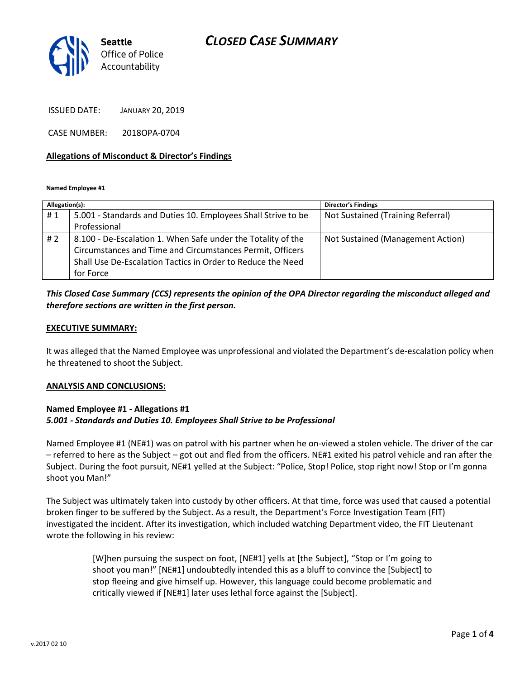## CLOSED CASE SUMMARY



ISSUED DATE: JANUARY 20, 2019

CASE NUMBER: 2018OPA-0704

#### Allegations of Misconduct & Director's Findings

Named Employee #1

| Allegation(s): |                                                               | <b>Director's Findings</b>        |
|----------------|---------------------------------------------------------------|-----------------------------------|
| #1             | 5.001 - Standards and Duties 10. Employees Shall Strive to be | Not Sustained (Training Referral) |
|                | Professional                                                  |                                   |
| # 2            | 8.100 - De-Escalation 1. When Safe under the Totality of the  | Not Sustained (Management Action) |
|                | Circumstances and Time and Circumstances Permit, Officers     |                                   |
|                | Shall Use De-Escalation Tactics in Order to Reduce the Need   |                                   |
|                | for Force                                                     |                                   |

## This Closed Case Summary (CCS) represents the opinion of the OPA Director regarding the misconduct alleged and therefore sections are written in the first person.

#### EXECUTIVE SUMMARY:

It was alleged that the Named Employee was unprofessional and violated the Department's de-escalation policy when he threatened to shoot the Subject.

#### ANALYSIS AND CONCLUSIONS:

### Named Employee #1 - Allegations #1 5.001 - Standards and Duties 10. Employees Shall Strive to be Professional

Named Employee #1 (NE#1) was on patrol with his partner when he on-viewed a stolen vehicle. The driver of the car – referred to here as the Subject – got out and fled from the officers. NE#1 exited his patrol vehicle and ran after the Subject. During the foot pursuit, NE#1 yelled at the Subject: "Police, Stop! Police, stop right now! Stop or I'm gonna shoot you Man!"

The Subject was ultimately taken into custody by other officers. At that time, force was used that caused a potential broken finger to be suffered by the Subject. As a result, the Department's Force Investigation Team (FIT) investigated the incident. After its investigation, which included watching Department video, the FIT Lieutenant wrote the following in his review:

> [W]hen pursuing the suspect on foot, [NE#1] yells at [the Subject], "Stop or I'm going to shoot you man!" [NE#1] undoubtedly intended this as a bluff to convince the [Subject] to stop fleeing and give himself up. However, this language could become problematic and critically viewed if [NE#1] later uses lethal force against the [Subject].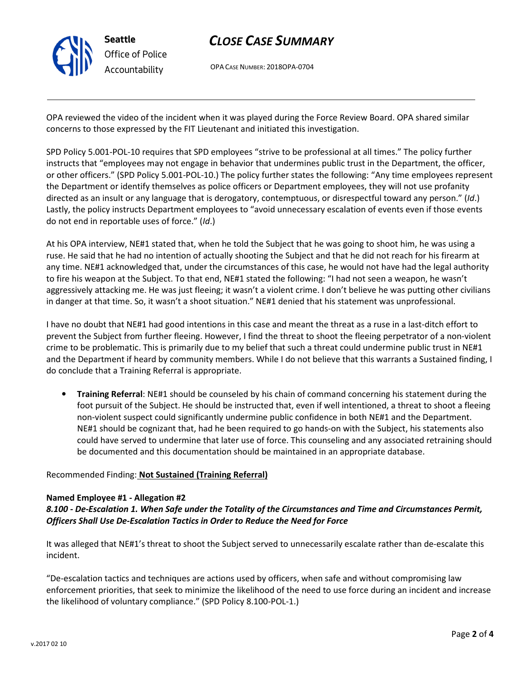

# CLOSE CASE SUMMARY

OPA CASE NUMBER: 2018OPA-0704

OPA reviewed the video of the incident when it was played during the Force Review Board. OPA shared similar concerns to those expressed by the FIT Lieutenant and initiated this investigation.

SPD Policy 5.001-POL-10 requires that SPD employees "strive to be professional at all times." The policy further instructs that "employees may not engage in behavior that undermines public trust in the Department, the officer, or other officers." (SPD Policy 5.001-POL-10.) The policy further states the following: "Any time employees represent the Department or identify themselves as police officers or Department employees, they will not use profanity directed as an insult or any language that is derogatory, contemptuous, or disrespectful toward any person." (Id.) Lastly, the policy instructs Department employees to "avoid unnecessary escalation of events even if those events do not end in reportable uses of force." (Id.)

At his OPA interview, NE#1 stated that, when he told the Subject that he was going to shoot him, he was using a ruse. He said that he had no intention of actually shooting the Subject and that he did not reach for his firearm at any time. NE#1 acknowledged that, under the circumstances of this case, he would not have had the legal authority to fire his weapon at the Subject. To that end, NE#1 stated the following: "I had not seen a weapon, he wasn't aggressively attacking me. He was just fleeing; it wasn't a violent crime. I don't believe he was putting other civilians in danger at that time. So, it wasn't a shoot situation." NE#1 denied that his statement was unprofessional.

I have no doubt that NE#1 had good intentions in this case and meant the threat as a ruse in a last-ditch effort to prevent the Subject from further fleeing. However, I find the threat to shoot the fleeing perpetrator of a non-violent crime to be problematic. This is primarily due to my belief that such a threat could undermine public trust in NE#1 and the Department if heard by community members. While I do not believe that this warrants a Sustained finding, I do conclude that a Training Referral is appropriate.

**Training Referral:** NE#1 should be counseled by his chain of command concerning his statement during the foot pursuit of the Subject. He should be instructed that, even if well intentioned, a threat to shoot a fleeing non-violent suspect could significantly undermine public confidence in both NE#1 and the Department. NE#1 should be cognizant that, had he been required to go hands-on with the Subject, his statements also could have served to undermine that later use of force. This counseling and any associated retraining should be documented and this documentation should be maintained in an appropriate database.

### Recommended Finding: Not Sustained (Training Referral)

### Named Employee #1 - Allegation #2

## 8.100 - De-Escalation 1. When Safe under the Totality of the Circumstances and Time and Circumstances Permit, Officers Shall Use De-Escalation Tactics in Order to Reduce the Need for Force

It was alleged that NE#1's threat to shoot the Subject served to unnecessarily escalate rather than de-escalate this incident.

"De-escalation tactics and techniques are actions used by officers, when safe and without compromising law enforcement priorities, that seek to minimize the likelihood of the need to use force during an incident and increase the likelihood of voluntary compliance." (SPD Policy 8.100-POL-1.)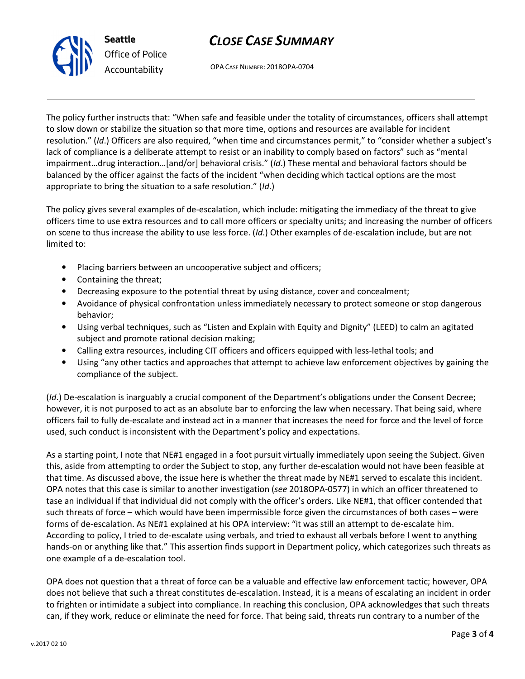# CLOSE CASE SUMMARY



OPA CASE NUMBER: 2018OPA-0704

The policy further instructs that: "When safe and feasible under the totality of circumstances, officers shall attempt to slow down or stabilize the situation so that more time, options and resources are available for incident resolution." (Id.) Officers are also required, "when time and circumstances permit," to "consider whether a subject's lack of compliance is a deliberate attempt to resist or an inability to comply based on factors" such as "mental impairment…drug interaction…[and/or] behavioral crisis." (Id.) These mental and behavioral factors should be balanced by the officer against the facts of the incident "when deciding which tactical options are the most appropriate to bring the situation to a safe resolution." (Id.)

The policy gives several examples of de-escalation, which include: mitigating the immediacy of the threat to give officers time to use extra resources and to call more officers or specialty units; and increasing the number of officers on scene to thus increase the ability to use less force. (Id.) Other examples of de-escalation include, but are not limited to:

- Placing barriers between an uncooperative subject and officers;
- Containing the threat;
- Decreasing exposure to the potential threat by using distance, cover and concealment;
- Avoidance of physical confrontation unless immediately necessary to protect someone or stop dangerous behavior;
- Using verbal techniques, such as "Listen and Explain with Equity and Dignity" (LEED) to calm an agitated subject and promote rational decision making;
- Calling extra resources, including CIT officers and officers equipped with less-lethal tools; and
- Using "any other tactics and approaches that attempt to achieve law enforcement objectives by gaining the compliance of the subject.

(Id.) De-escalation is inarguably a crucial component of the Department's obligations under the Consent Decree; however, it is not purposed to act as an absolute bar to enforcing the law when necessary. That being said, where officers fail to fully de-escalate and instead act in a manner that increases the need for force and the level of force used, such conduct is inconsistent with the Department's policy and expectations.

As a starting point, I note that NE#1 engaged in a foot pursuit virtually immediately upon seeing the Subject. Given this, aside from attempting to order the Subject to stop, any further de-escalation would not have been feasible at that time. As discussed above, the issue here is whether the threat made by NE#1 served to escalate this incident. OPA notes that this case is similar to another investigation (see 2018OPA-0577) in which an officer threatened to tase an individual if that individual did not comply with the officer's orders. Like NE#1, that officer contended that such threats of force – which would have been impermissible force given the circumstances of both cases – were forms of de-escalation. As NE#1 explained at his OPA interview: "it was still an attempt to de-escalate him. According to policy, I tried to de-escalate using verbals, and tried to exhaust all verbals before I went to anything hands-on or anything like that." This assertion finds support in Department policy, which categorizes such threats as one example of a de-escalation tool.

OPA does not question that a threat of force can be a valuable and effective law enforcement tactic; however, OPA does not believe that such a threat constitutes de-escalation. Instead, it is a means of escalating an incident in order to frighten or intimidate a subject into compliance. In reaching this conclusion, OPA acknowledges that such threats can, if they work, reduce or eliminate the need for force. That being said, threats run contrary to a number of the